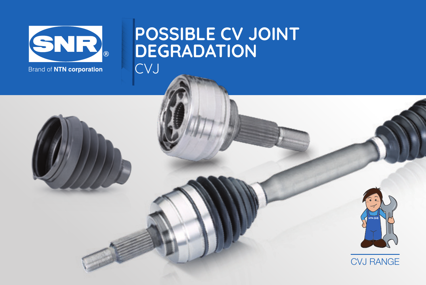

# POSSIBLE CV JOINT DEGRADATION CVJ



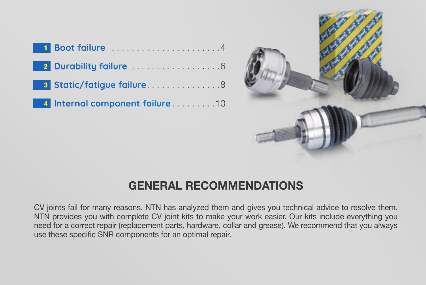| <b>1 Boot failure</b> 4          |
|----------------------------------|
|                                  |
| <b>3 Static/fatigue failure8</b> |
| 4 Internal component failure10   |



# GENERAL RECOMMENDATIONS

CV joints fail for many reasons. NTN has analyzed them and gives you technical advice to resolve them. NTN provides you with complete CV joint kits to make your work easier. Our kits include everything you need for a correct repair (replacement parts, hardware, collar and grease). We recommend that you always use these specific SNR components for an optimal repair.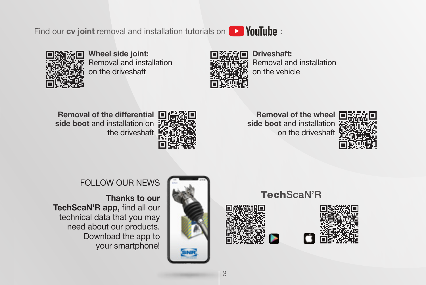Find our **cy joint** removal and installation tutorials on **DD YouTube**:



Wheel side joint: Removal and installation on the driveshaft



Driveshaft: Removal and installation on the vehicle

Removal of the differential side boot and installation on the driveshaft



Removal of the wheel side boot and installation on the driveshaft



### FOLLOW OUR NEWS

**Thanks to our TechScaN'R app,** find all our technical data that you may need about our products. Download the app to your smartphone!







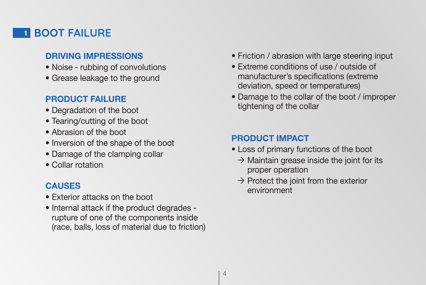### **1 BOOT FAILURE**

#### **DRIVING IMPRESSIONS**

- Noise rubbing of convolutions
- Grease leakage to the ground

### **PRODUCT FAILURE**

- Degradation of the boot
- Tearing/cutting of the boot
- Abrasion of the boot
- Inversion of the shape of the boot
- Damage of the clamping collar
- Collar rotation

### **CAUSES**

- Exterior attacks on the boot
- Internal attack if the product degrades rupture of one of the components inside (race, balls, loss of material due to friction)
- Friction / abrasion with large steering input
- Extreme conditions of use / outside of manufacturer's specifications (extreme deviation, speed or temperatures)
- Damage to the collar of the boot / improper tightening of the collar

#### **PRODUCT IMPACT**

- Loss of primary functions of the boot
	- $\rightarrow$  Maintain grease inside the joint for its proper operation
	- $\rightarrow$  Protect the joint from the exterior environment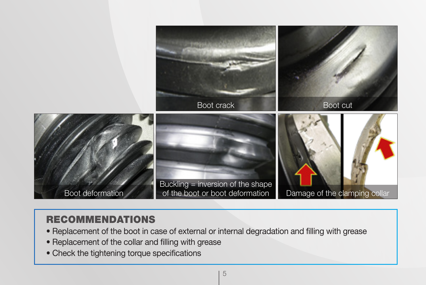

### RECOMMENDATIONS

- Replacement of the boot in case of external or internal degradation and filling with grease
- Replacement of the collar and filling with grease
- Check the tightening torque specifications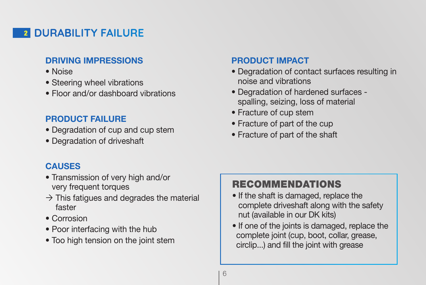## 2 DURABILITY FAILURE

#### **DRIVING IMPRESSIONS**

- Noise
- Steering wheel vibrations
- Floor and/or dashboard vibrations

### **PRODUCT FAILURE**

- Degradation of cup and cup stem
- Degradation of driveshaft

### **PRODUCT IMPACT**

- Degradation of contact surfaces resulting in noise and vibrations
- Degradation of hardened surfaces spalling, seizing, loss of material
- Fracture of cup stem
- Fracture of part of the cup
- Fracture of part of the shaft

### **CAUSES**

- Transmission of very high and/or very frequent torques
- $\rightarrow$  This fatigues and degrades the material faster
- Corrosion
- Poor interfacing with the hub
- Too high tension on the joint stem

# RECOMMENDATIONS

- If the shaft is damaged, replace the complete driveshaft along with the safety nut (available in our DK kits)
- If one of the joints is damaged, replace the complete joint (cup, boot, collar, grease, circlip...) and fill the joint with grease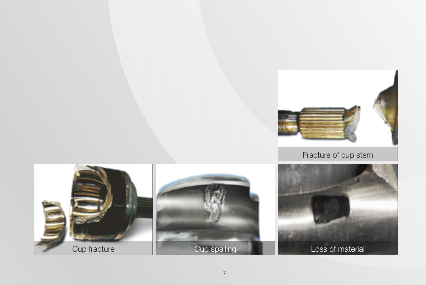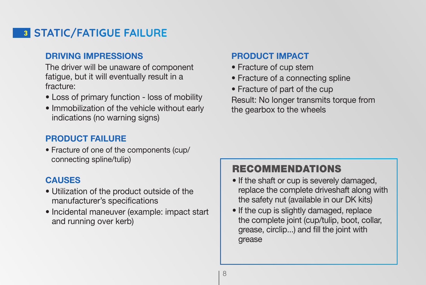# **3 STATIC/FATIGUE FAILURE**

#### **DRIVING IMPRESSIONS**

The driver will be unaware of component fatigue, but it will eventually result in a fracture:

- Loss of primary function loss of mobility
- Immobilization of the vehicle without early indications (no warning signs)

### **PRODUCT FAILURE**

• Fracture of one of the components (cup/ connecting spline/tulip)

### **CAUSES**

- Utilization of the product outside of the manufacturer's specifications
- Incidental maneuver (example: impact start and running over kerb)

#### **PRODUCT IMPACT**

- Fracture of cup stem
- Fracture of a connecting spline
- Fracture of part of the cup

Result: No longer transmits torque from the gearbox to the wheels

### RECOMMENDATIONS

- If the shaft or cup is severely damaged, replace the complete driveshaft along with the safety nut (available in our DK kits)
- If the cup is slightly damaged, replace the complete joint (cup/tulip, boot, collar, grease, circlip...) and fill the joint with grease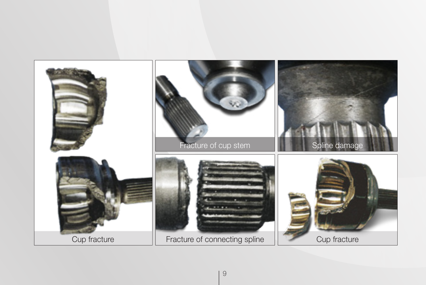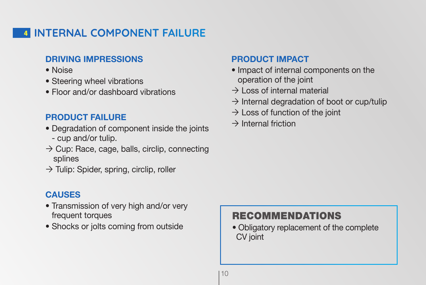# 4 INTERNAL COMPONENT FAILURE

#### **DRIVING IMPRESSIONS**

- Noise
- Steering wheel vibrations
- Floor and/or dashboard vibrations

### **PRODUCT FAILURE**

- Degradation of component inside the joints - cup and/or tulip.
- $\rightarrow$  Cup: Race, cage, balls, circlip, connecting splines
- $\rightarrow$  Tulip: Spider, spring, circlip, roller

### **CAUSES**

- Transmission of very high and/or very frequent torques
- Shocks or jolts coming from outside

### **PRODUCT IMPACT**

- Impact of internal components on the operation of the joint
- $\rightarrow$  Loss of internal material
- $\rightarrow$  Internal degradation of boot or cup/tulip
- $\rightarrow$  Loss of function of the joint
- $\rightarrow$  Internal friction

### RECOMMENDATIONS

• Obligatory replacement of the complete CV joint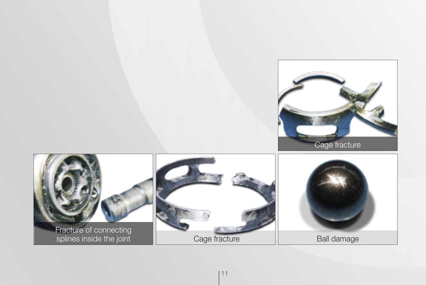